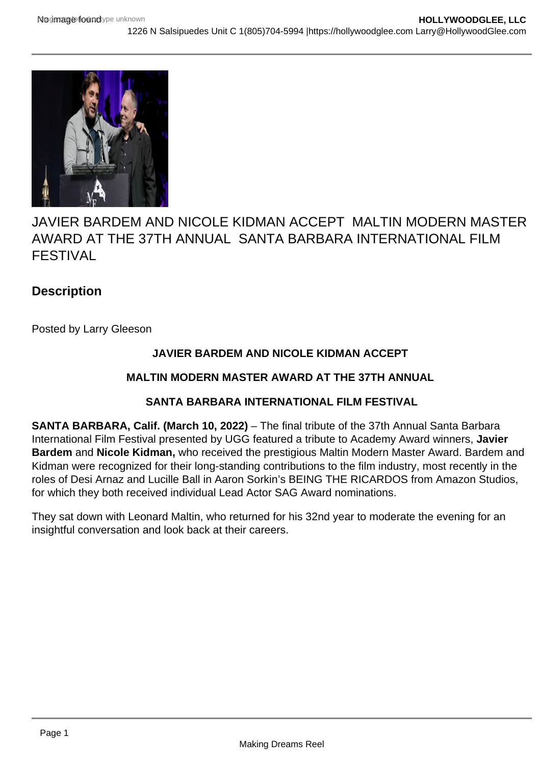

# JAVIER BARDEM AND NICOLE KIDMAN ACCEPT MALTIN MODERN MASTER AWARD AT THE 37TH ANNUAL SANTA BARBARA INTERNATIONAL FILM FESTIVAL

# **Description**

Posted by Larry Gleeson

## **JAVIER BARDEM AND NICOLE KIDMAN ACCEPT**

### **MALTIN MODERN MASTER AWARD AT THE 37TH ANNUAL**

### **SANTA BARBARA INTERNATIONAL FILM FESTIVAL**

**SANTA BARBARA, Calif. (March 10, 2022)** – The final tribute of the 37th Annual Santa Barbara International Film Festival presented by UGG featured a tribute to Academy Award winners, **Javier Bardem** and **Nicole Kidman,** who received the prestigious Maltin Modern Master Award. Bardem and Kidman were recognized for their long-standing contributions to the film industry, most recently in the roles of Desi Arnaz and Lucille Ball in Aaron Sorkin's BEING THE RICARDOS from Amazon Studios, for which they both received individual Lead Actor SAG Award nominations.

They sat down with Leonard Maltin, who returned for his 32nd year to moderate the evening for an insightful conversation and look back at their careers.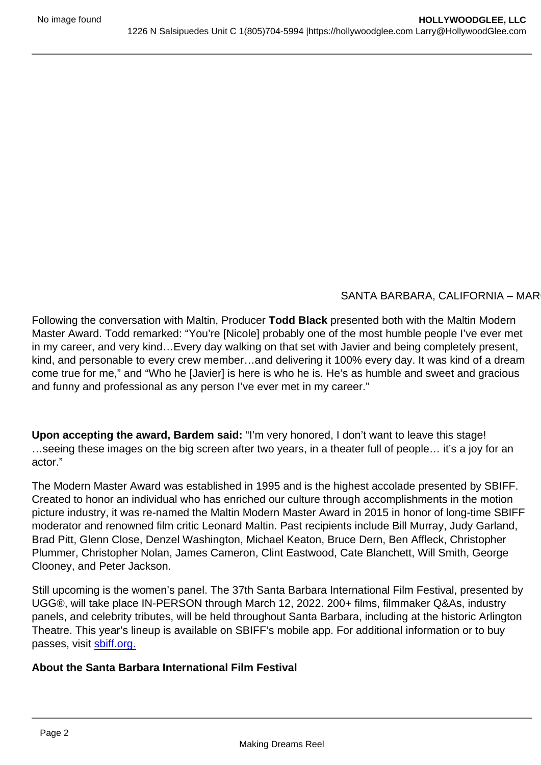#### SANTA BARBARA, CALIFORNIA - MAR

Following the conversation with Maltin, Producer Todd Black presented both with the Maltin Modern Master Award. Todd remarked: "You're [Nicole] probably one of the most humble people I've ever met in my career, and very kind…Every day walking on that set with Javier and being completely present, kind, and personable to every crew member…and delivering it 100% every day. It was kind of a dream come true for me," and "Who he [Javier] is here is who he is. He's as humble and sweet and gracious and funny and professional as any person I've ever met in my career."

Upon accepting the award, Bardem said: "I'm very honored, I don't want to leave this stage! …seeing these images on the big screen after two years, in a theater full of people… it's a joy for an actor."

The Modern Master Award was established in 1995 and is the highest accolade presented by SBIFF. Created to honor an individual who has enriched our culture through accomplishments in the motion picture industry, it was re-named the Maltin Modern Master Award in 2015 in honor of long-time SBIFF moderator and renowned film critic Leonard Maltin. Past recipients include Bill Murray, Judy Garland, Brad Pitt, Glenn Close, Denzel Washington, Michael Keaton, Bruce Dern, Ben Affleck, Christopher Plummer, Christopher Nolan, James Cameron, Clint Eastwood, Cate Blanchett, Will Smith, George Clooney, and Peter Jackson.

Still upcoming is the women's panel. The 37th Santa Barbara International Film Festival, presented by UGG®, will take place IN-PERSON through March 12, 2022. 200+ films, filmmaker Q&As, industry panels, and celebrity tributes, will be held throughout Santa Barbara, including at the historic Arlington Theatre. This year's lineup is available on SBIFF's mobile app. For additional information or to buy passes, visit [sbiff.org.](http://sbiff.org)

About the Santa Barbara International Film Festival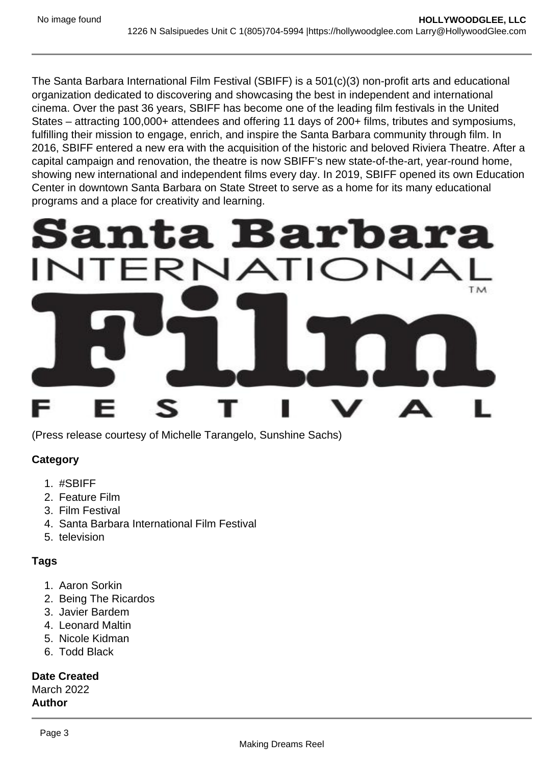The Santa Barbara International Film Festival (SBIFF) is a 501(c)(3) non-profit arts and educational organization dedicated to discovering and showcasing the best in independent and international cinema. Over the past 36 years, SBIFF has become one of the leading film festivals in the United States – attracting 100,000+ attendees and offering 11 days of 200+ films, tributes and symposiums, fulfilling their mission to engage, enrich, and inspire the Santa Barbara community through film. In 2016, SBIFF entered a new era with the acquisition of the historic and beloved Riviera Theatre. After a capital campaign and renovation, the theatre is now SBIFF's new state-of-the-art, year-round home, showing new international and independent films every day. In 2019, SBIFF opened its own Education Center in downtown Santa Barbara on State Street to serve as a home for its many educational programs and a place for creativity and learning.

(Press release courtesy of Michelle Tarangelo, Sunshine Sachs)

**Category** 

- 1. #SBIFF
- 2. Feature Film
- 3. Film Festival
- 4. Santa Barbara International Film Festival
- 5. television

#### Tags

- 1. Aaron Sorkin
- 2. Being The Ricardos
- 3. Javier Bardem
- 4. Leonard Maltin
- 5. Nicole Kidman
- 6. Todd Black

Date Created March 2022 Author